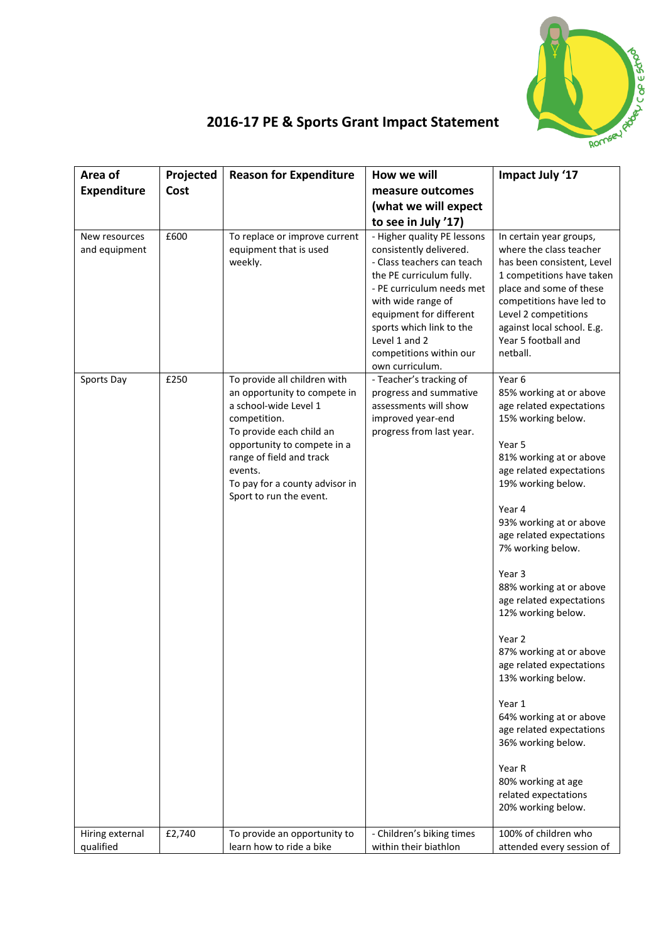

## **2016-17 PE & Sports Grant Impact Statement**

| Area of                        | Projected | <b>Reason for Expenditure</b>                                                                                                                                                                                                                                        | How we will                                                                                                                                                                                                                                                                               | Impact July '17                                                                                                                                                                                                                                                                                                                                                                                                                                                                                                                                                                                                     |
|--------------------------------|-----------|----------------------------------------------------------------------------------------------------------------------------------------------------------------------------------------------------------------------------------------------------------------------|-------------------------------------------------------------------------------------------------------------------------------------------------------------------------------------------------------------------------------------------------------------------------------------------|---------------------------------------------------------------------------------------------------------------------------------------------------------------------------------------------------------------------------------------------------------------------------------------------------------------------------------------------------------------------------------------------------------------------------------------------------------------------------------------------------------------------------------------------------------------------------------------------------------------------|
| <b>Expenditure</b>             | Cost      |                                                                                                                                                                                                                                                                      | measure outcomes                                                                                                                                                                                                                                                                          |                                                                                                                                                                                                                                                                                                                                                                                                                                                                                                                                                                                                                     |
|                                |           |                                                                                                                                                                                                                                                                      | (what we will expect                                                                                                                                                                                                                                                                      |                                                                                                                                                                                                                                                                                                                                                                                                                                                                                                                                                                                                                     |
|                                |           |                                                                                                                                                                                                                                                                      | to see in July '17)                                                                                                                                                                                                                                                                       |                                                                                                                                                                                                                                                                                                                                                                                                                                                                                                                                                                                                                     |
| New resources<br>and equipment | £600      | To replace or improve current<br>equipment that is used<br>weekly.                                                                                                                                                                                                   | - Higher quality PE lessons<br>consistently delivered.<br>- Class teachers can teach<br>the PE curriculum fully.<br>- PE curriculum needs met<br>with wide range of<br>equipment for different<br>sports which link to the<br>Level 1 and 2<br>competitions within our<br>own curriculum. | In certain year groups,<br>where the class teacher<br>has been consistent, Level<br>1 competitions have taken<br>place and some of these<br>competitions have led to<br>Level 2 competitions<br>against local school. E.g.<br>Year 5 football and<br>netball.                                                                                                                                                                                                                                                                                                                                                       |
| Sports Day                     | £250      | To provide all children with<br>an opportunity to compete in<br>a school-wide Level 1<br>competition.<br>To provide each child an<br>opportunity to compete in a<br>range of field and track<br>events.<br>To pay for a county advisor in<br>Sport to run the event. | - Teacher's tracking of<br>progress and summative<br>assessments will show<br>improved year-end<br>progress from last year.                                                                                                                                                               | Year 6<br>85% working at or above<br>age related expectations<br>15% working below.<br>Year 5<br>81% working at or above<br>age related expectations<br>19% working below.<br>Year 4<br>93% working at or above<br>age related expectations<br>7% working below.<br>Year 3<br>88% working at or above<br>age related expectations<br>12% working below.<br>Year 2<br>87% working at or above<br>age related expectations<br>13% working below.<br>Year 1<br>64% working at or above<br>age related expectations<br>36% working below.<br>Year R<br>80% working at age<br>related expectations<br>20% working below. |
| Hiring external                | £2,740    | To provide an opportunity to                                                                                                                                                                                                                                         | - Children's biking times                                                                                                                                                                                                                                                                 | 100% of children who                                                                                                                                                                                                                                                                                                                                                                                                                                                                                                                                                                                                |
| qualified                      |           | learn how to ride a bike                                                                                                                                                                                                                                             | within their biathlon                                                                                                                                                                                                                                                                     | attended every session of                                                                                                                                                                                                                                                                                                                                                                                                                                                                                                                                                                                           |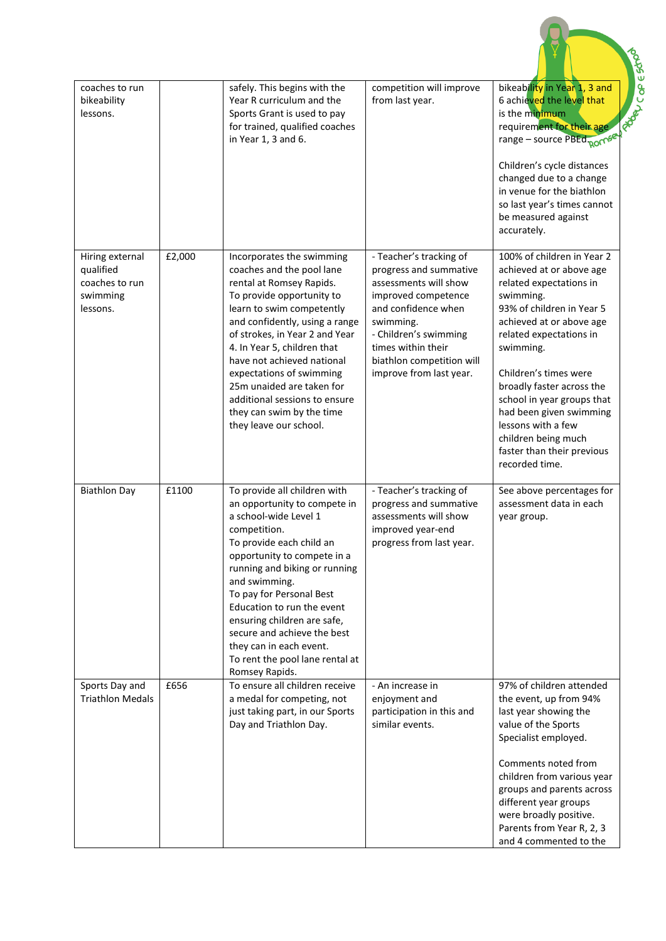| coaches to run<br>bikeability<br>lessons.                              |        | safely. This begins with the<br>Year R curriculum and the<br>Sports Grant is used to pay<br>for trained, qualified coaches<br>in Year 1, 3 and 6.                                                                                                                                                                                                                                                                              | competition will improve<br>from last year.                                                                                                                                                                                                  | bikeability in Year 1, 3 and<br>6 achieved the level that<br>is the minimum<br><b>RO</b><br>requirement for their age<br>range - source PBEd <sub>ROMSe</sub><br>Children's cycle distances<br>changed due to a change<br>in venue for the biathlon<br>so last year's times cannot<br>be measured against<br>accurately.                                                                                    |
|------------------------------------------------------------------------|--------|--------------------------------------------------------------------------------------------------------------------------------------------------------------------------------------------------------------------------------------------------------------------------------------------------------------------------------------------------------------------------------------------------------------------------------|----------------------------------------------------------------------------------------------------------------------------------------------------------------------------------------------------------------------------------------------|-------------------------------------------------------------------------------------------------------------------------------------------------------------------------------------------------------------------------------------------------------------------------------------------------------------------------------------------------------------------------------------------------------------|
| Hiring external<br>qualified<br>coaches to run<br>swimming<br>lessons. | £2,000 | Incorporates the swimming<br>coaches and the pool lane<br>rental at Romsey Rapids.<br>To provide opportunity to<br>learn to swim competently<br>and confidently, using a range<br>of strokes, in Year 2 and Year<br>4. In Year 5, children that<br>have not achieved national<br>expectations of swimming<br>25m unaided are taken for<br>additional sessions to ensure<br>they can swim by the time<br>they leave our school. | - Teacher's tracking of<br>progress and summative<br>assessments will show<br>improved competence<br>and confidence when<br>swimming.<br>- Children's swimming<br>times within their<br>biathlon competition will<br>improve from last year. | 100% of children in Year 2<br>achieved at or above age<br>related expectations in<br>swimming.<br>93% of children in Year 5<br>achieved at or above age<br>related expectations in<br>swimming.<br>Children's times were<br>broadly faster across the<br>school in year groups that<br>had been given swimming<br>lessons with a few<br>children being much<br>faster than their previous<br>recorded time. |
| <b>Biathlon Day</b>                                                    | £1100  | To provide all children with<br>an opportunity to compete in<br>a school-wide Level 1<br>competition.<br>To provide each child an<br>opportunity to compete in a<br>running and biking or running<br>and swimming.<br>To pay for Personal Best<br>Education to run the event<br>ensuring children are safe,<br>secure and achieve the best<br>they can in each event.<br>To rent the pool lane rental at<br>Romsey Rapids.     | - Teacher's tracking of<br>progress and summative<br>assessments will show<br>improved year-end<br>progress from last year.                                                                                                                  | See above percentages for<br>assessment data in each<br>year group.                                                                                                                                                                                                                                                                                                                                         |
| Sports Day and<br><b>Triathlon Medals</b>                              | £656   | To ensure all children receive<br>a medal for competing, not<br>just taking part, in our Sports<br>Day and Triathlon Day.                                                                                                                                                                                                                                                                                                      | - An increase in<br>enjoyment and<br>participation in this and<br>similar events.                                                                                                                                                            | 97% of children attended<br>the event, up from 94%<br>last year showing the<br>value of the Sports<br>Specialist employed.<br>Comments noted from<br>children from various year<br>groups and parents across<br>different year groups<br>were broadly positive.<br>Parents from Year R, 2, 3<br>and 4 commented to the                                                                                      |